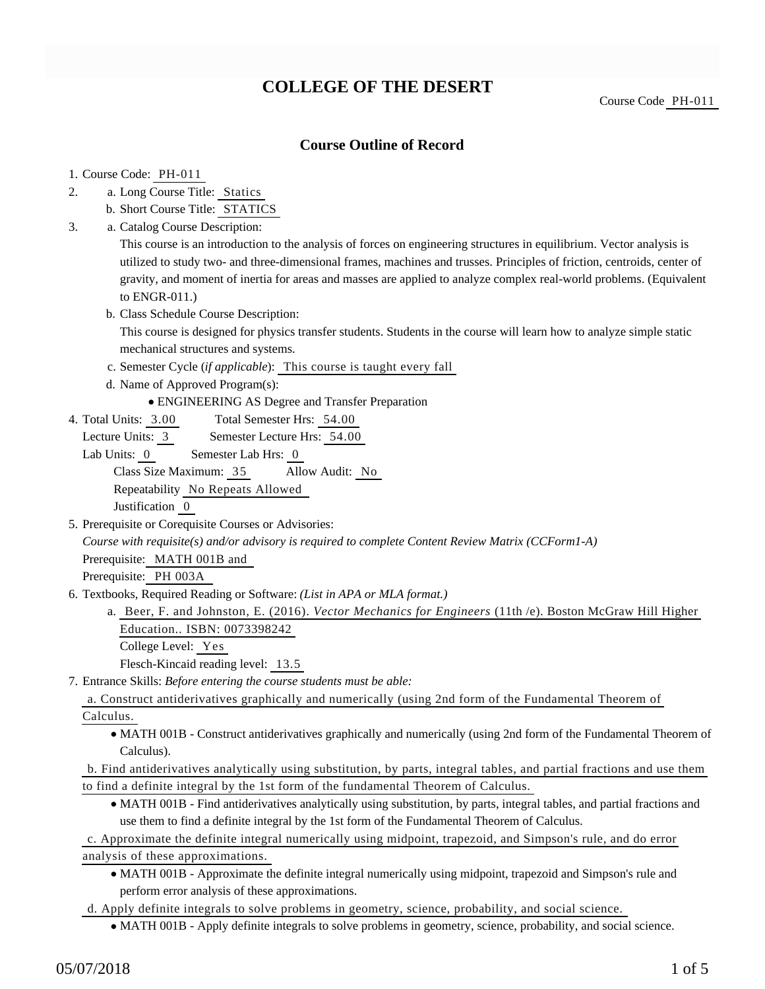## **COLLEGE OF THE DESERT**

Course Code PH-011

### **Course Outline of Record**

#### 1. Course Code: PH-011

- a. Long Course Title: Statics 2.
	- b. Short Course Title: STATICS
- Catalog Course Description: a. 3.

This course is an introduction to the analysis of forces on engineering structures in equilibrium. Vector analysis is utilized to study two- and three-dimensional frames, machines and trusses. Principles of friction, centroids, center of gravity, and moment of inertia for areas and masses are applied to analyze complex real-world problems. (Equivalent to ENGR-011.)

b. Class Schedule Course Description:

This course is designed for physics transfer students. Students in the course will learn how to analyze simple static mechanical structures and systems.

- c. Semester Cycle (*if applicable*): This course is taught every fall
- d. Name of Approved Program(s):

ENGINEERING AS Degree and Transfer Preparation

Total Semester Hrs: 54.00 4. Total Units: 3.00

Lecture Units: 3 Semester Lecture Hrs: 54.00

- Lab Units: 0 Semester Lab Hrs: 0 Class Size Maximum: 35 Allow Audit: No Repeatability No Repeats Allowed Justification 0
- 5. Prerequisite or Corequisite Courses or Advisories:

*Course with requisite(s) and/or advisory is required to complete Content Review Matrix (CCForm1-A)* Prerequisite: MATH 001B and

Prerequisite: PH 003A

- 6. Textbooks, Required Reading or Software: (List in APA or MLA format.)
	- a. Beer, F. and Johnston, E. (2016). *Vector Mechanics for Engineers* (11th /e). Boston McGraw Hill Higher Education.. ISBN: 0073398242

College Level: Yes

Flesch-Kincaid reading level: 13.5

Entrance Skills: *Before entering the course students must be able:* 7.

a. Construct antiderivatives graphically and numerically (using 2nd form of the Fundamental Theorem of Calculus.

MATH 001B - Construct antiderivatives graphically and numerically (using 2nd form of the Fundamental Theorem of Calculus).

b. Find antiderivatives analytically using substitution, by parts, integral tables, and partial fractions and use them to find a definite integral by the 1st form of the fundamental Theorem of Calculus.

MATH 001B - Find antiderivatives analytically using substitution, by parts, integral tables, and partial fractions and use them to find a definite integral by the 1st form of the Fundamental Theorem of Calculus.

c. Approximate the definite integral numerically using midpoint, trapezoid, and Simpson's rule, and do error analysis of these approximations.

MATH 001B - Approximate the definite integral numerically using midpoint, trapezoid and Simpson's rule and perform error analysis of these approximations.

d. Apply definite integrals to solve problems in geometry, science, probability, and social science.

MATH 001B - Apply definite integrals to solve problems in geometry, science, probability, and social science.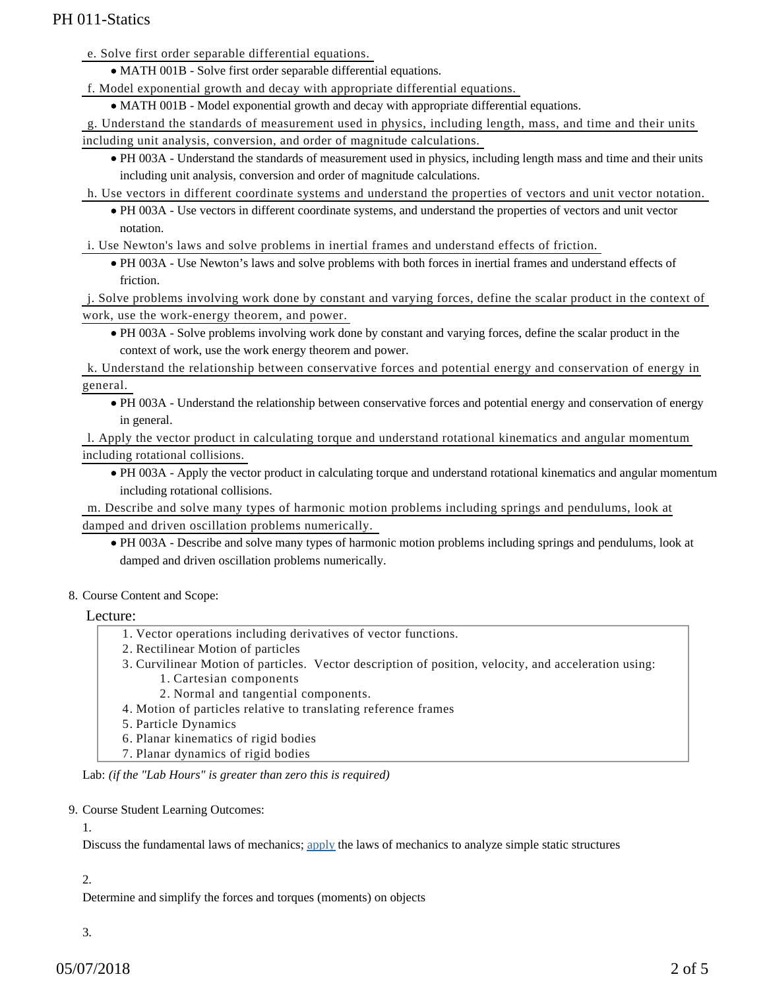e. Solve first order separable differential equations.

MATH 001B - Solve first order separable differential equations.

f. Model exponential growth and decay with appropriate differential equations.

• MATH 001B - Model exponential growth and decay with appropriate differential equations.

g. Understand the standards of measurement used in physics, including length, mass, and time and their units including unit analysis, conversion, and order of magnitude calculations.

PH 003A - Understand the standards of measurement used in physics, including length mass and time and their units including unit analysis, conversion and order of magnitude calculations.

h. Use vectors in different coordinate systems and understand the properties of vectors and unit vector notation.

PH 003A - Use vectors in different coordinate systems, and understand the properties of vectors and unit vector notation.

i. Use Newton's laws and solve problems in inertial frames and understand effects of friction.

PH 003A - Use Newton's laws and solve problems with both forces in inertial frames and understand effects of friction.

j. Solve problems involving work done by constant and varying forces, define the scalar product in the context of work, use the work-energy theorem, and power.

PH 003A - Solve problems involving work done by constant and varying forces, define the scalar product in the context of work, use the work energy theorem and power.

k. Understand the relationship between conservative forces and potential energy and conservation of energy in general.

PH 003A - Understand the relationship between conservative forces and potential energy and conservation of energy in general.

l. Apply the vector product in calculating torque and understand rotational kinematics and angular momentum including rotational collisions.

PH 003A - Apply the vector product in calculating torque and understand rotational kinematics and angular momentum including rotational collisions.

m. Describe and solve many types of harmonic motion problems including springs and pendulums, look at damped and driven oscillation problems numerically.

- PH 003A Describe and solve many types of harmonic motion problems including springs and pendulums, look at damped and driven oscillation problems numerically.
- 8. Course Content and Scope:

Lecture:

- 1. Vector operations including derivatives of vector functions.
- 2. Rectilinear Motion of particles
- 3. Curvilinear Motion of particles. Vector description of position, velocity, and acceleration using: 1. Cartesian components
	- 2. Normal and tangential components.
- 4. Motion of particles relative to translating reference frames
- 5. Particle Dynamics
- 6. Planar kinematics of rigid bodies
- 7. Planar dynamics of rigid bodies

Lab: *(if the "Lab Hours" is greater than zero this is required)*

#### 9. Course Student Learning Outcomes:

1.

Discuss the fundamental laws of mechanics; [apply](file://cifs_server/Web-Files/host/COD/Reports/slo_addendum.cfm?courses_id=2476) the laws of mechanics to analyze simple static structures

#### 2.

Determine and simplify the forces and torques (moments) on objects

3.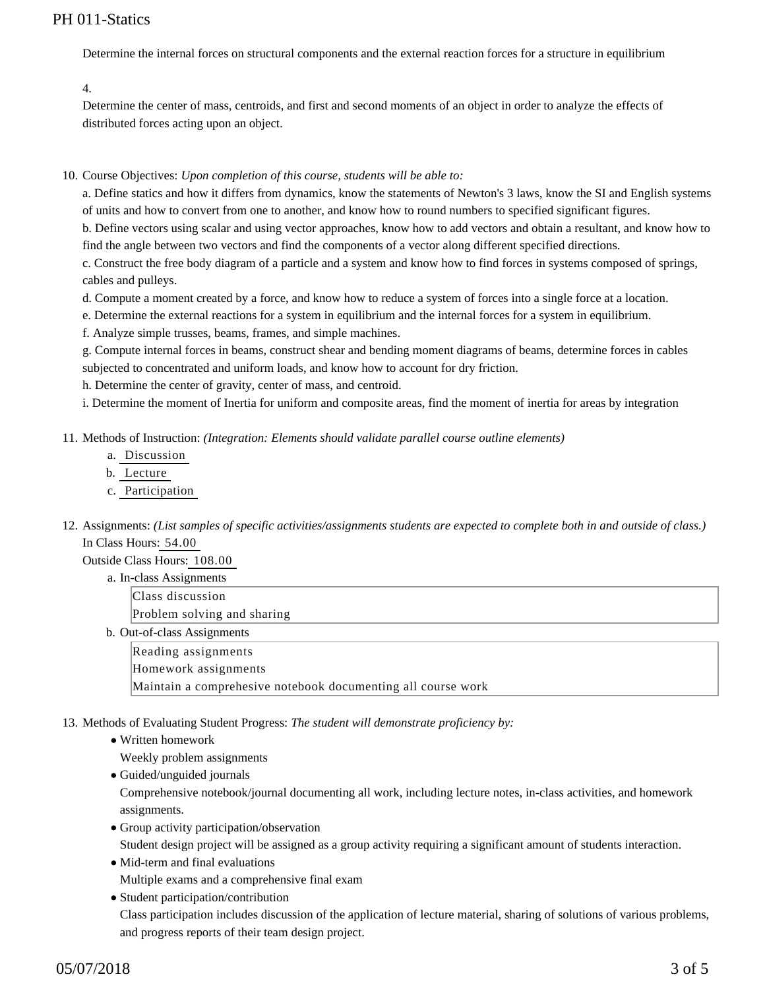Determine the internal forces on structural components and the external reaction forces for a structure in equilibrium

4.

Determine the center of mass, centroids, and first and second moments of an object in order to analyze the effects of distributed forces acting upon an object.

10. Course Objectives: Upon completion of this course, students will be able to:

a. Define statics and how it differs from dynamics, know the statements of Newton's 3 laws, know the SI and English systems of units and how to convert from one to another, and know how to round numbers to specified significant figures.

b. Define vectors using scalar and using vector approaches, know how to add vectors and obtain a resultant, and know how to find the angle between two vectors and find the components of a vector along different specified directions.

c. Construct the free body diagram of a particle and a system and know how to find forces in systems composed of springs, cables and pulleys.

d. Compute a moment created by a force, and know how to reduce a system of forces into a single force at a location.

e. Determine the external reactions for a system in equilibrium and the internal forces for a system in equilibrium.

f. Analyze simple trusses, beams, frames, and simple machines.

g. Compute internal forces in beams, construct shear and bending moment diagrams of beams, determine forces in cables subjected to concentrated and uniform loads, and know how to account for dry friction.

h. Determine the center of gravity, center of mass, and centroid.

i. Determine the moment of Inertia for uniform and composite areas, find the moment of inertia for areas by integration

11. Methods of Instruction: *(Integration: Elements should validate parallel course outline elements)* 

- a. Discussion
- b. Lecture
- c. Participation
- 12. Assignments: (List samples of specific activities/assignments students are expected to complete both in and outside of class.) In Class Hours: 54.00

Outside Class Hours: 108.00

a. In-class Assignments Class discussion

Problem solving and sharing

b. Out-of-class Assignments

Reading assignments

Homework assignments

Maintain a comprehesive notebook documenting all course work

13. Methods of Evaluating Student Progress: The student will demonstrate proficiency by:

Written homework

Weekly problem assignments

Guided/unguided journals

Comprehensive notebook/journal documenting all work, including lecture notes, in-class activities, and homework assignments.

- Group activity participation/observation Student design project will be assigned as a group activity requiring a significant amount of students interaction.
- Mid-term and final evaluations Multiple exams and a comprehensive final exam

• Student participation/contribution Class participation includes discussion of the application of lecture material, sharing of solutions of various problems, and progress reports of their team design project.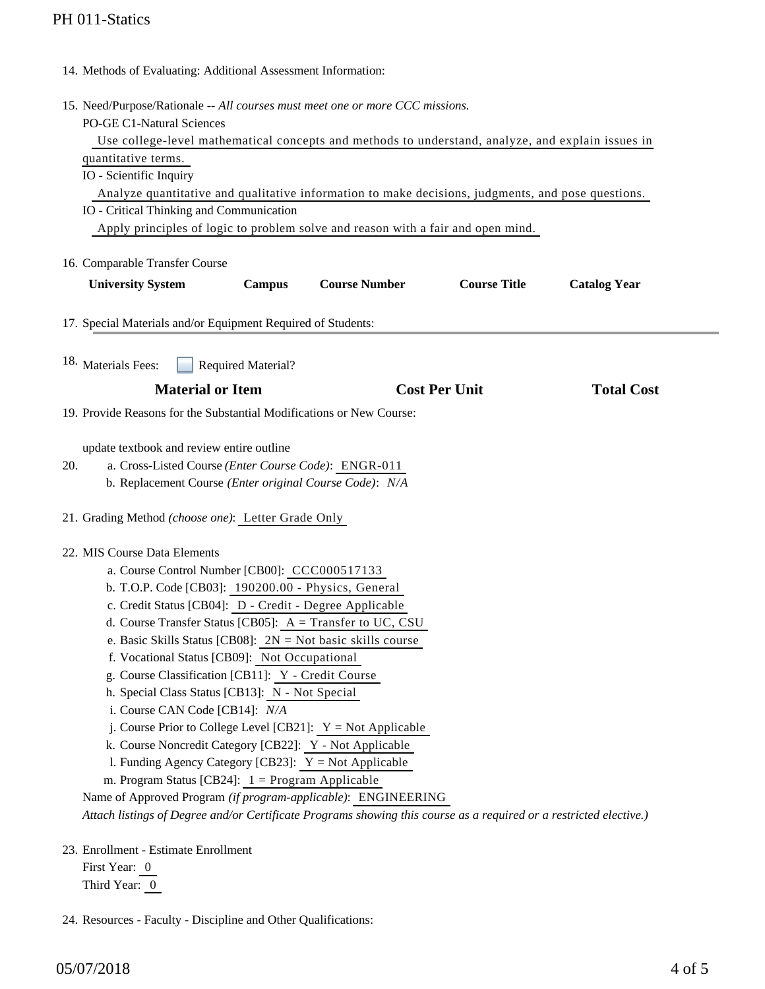|     | 14. Methods of Evaluating: Additional Assessment Information:                                                                                                                                                   |
|-----|-----------------------------------------------------------------------------------------------------------------------------------------------------------------------------------------------------------------|
|     | 15. Need/Purpose/Rationale -- All courses must meet one or more CCC missions.<br>PO-GE C1-Natural Sciences<br>Use college-level mathematical concepts and methods to understand, analyze, and explain issues in |
|     | quantitative terms.                                                                                                                                                                                             |
|     | IO - Scientific Inquiry                                                                                                                                                                                         |
|     | Analyze quantitative and qualitative information to make decisions, judgments, and pose questions.                                                                                                              |
|     | IO - Critical Thinking and Communication                                                                                                                                                                        |
|     | Apply principles of logic to problem solve and reason with a fair and open mind.                                                                                                                                |
|     | 16. Comparable Transfer Course                                                                                                                                                                                  |
|     | <b>Course Number</b><br><b>Course Title</b><br><b>University System</b><br><b>Campus</b><br><b>Catalog Year</b>                                                                                                 |
|     |                                                                                                                                                                                                                 |
|     | 17. Special Materials and/or Equipment Required of Students:                                                                                                                                                    |
|     |                                                                                                                                                                                                                 |
|     | 18. Materials Fees:<br><b>Required Material?</b>                                                                                                                                                                |
|     | <b>Material or Item</b><br><b>Cost Per Unit</b><br><b>Total Cost</b>                                                                                                                                            |
|     | 19. Provide Reasons for the Substantial Modifications or New Course:                                                                                                                                            |
|     |                                                                                                                                                                                                                 |
|     | update textbook and review entire outline                                                                                                                                                                       |
| 20. | a. Cross-Listed Course (Enter Course Code): ENGR-011                                                                                                                                                            |
|     | b. Replacement Course (Enter original Course Code): N/A                                                                                                                                                         |
|     | 21. Grading Method (choose one): Letter Grade Only                                                                                                                                                              |
|     | 22. MIS Course Data Elements                                                                                                                                                                                    |
|     | a. Course Control Number [CB00]: CCC000517133                                                                                                                                                                   |
|     | b. T.O.P. Code [CB03]: 190200.00 - Physics, General                                                                                                                                                             |
|     | c. Credit Status [CB04]: D - Credit - Degree Applicable                                                                                                                                                         |
|     | d. Course Transfer Status [CB05]: $A = Transfer to UC, CSU$                                                                                                                                                     |
|     | e. Basic Skills Status [CB08]: $2N = Not basic skills course$                                                                                                                                                   |
|     | f. Vocational Status [CB09]: Not Occupational<br>g. Course Classification [CB11]: Y - Credit Course                                                                                                             |
|     | h. Special Class Status [CB13]: N - Not Special                                                                                                                                                                 |
|     | i. Course CAN Code [CB14]: N/A                                                                                                                                                                                  |
|     | j. Course Prior to College Level [CB21]: $Y = Not$ Applicable                                                                                                                                                   |
|     | k. Course Noncredit Category [CB22]: Y - Not Applicable                                                                                                                                                         |
|     | l. Funding Agency Category [CB23]: $Y = Not$ Applicable                                                                                                                                                         |
|     | m. Program Status [CB24]: $1 =$ Program Applicable                                                                                                                                                              |
|     | Name of Approved Program (if program-applicable): ENGINEERING                                                                                                                                                   |
|     | Attach listings of Degree and/or Certificate Programs showing this course as a required or a restricted elective.)                                                                                              |
|     | 23. Enrollment - Estimate Enrollment                                                                                                                                                                            |
|     |                                                                                                                                                                                                                 |

First Year: 0 Third Year: 0

24. Resources - Faculty - Discipline and Other Qualifications: